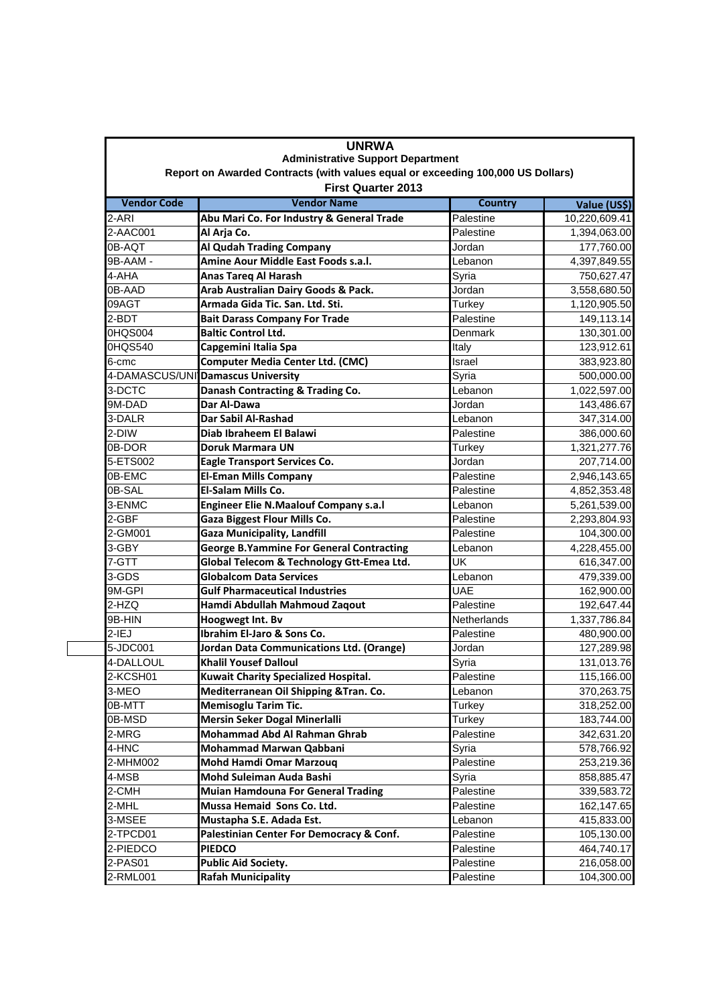| <b>UNRWA</b><br><b>Administrative Support Department</b><br>Report on Awarded Contracts (with values equal or exceeding 100,000 US Dollars)<br><b>First Quarter 2013</b> |                                                 |             |              |  |                    |                                           |                |               |
|--------------------------------------------------------------------------------------------------------------------------------------------------------------------------|-------------------------------------------------|-------------|--------------|--|--------------------|-------------------------------------------|----------------|---------------|
|                                                                                                                                                                          |                                                 |             |              |  | <b>Vendor Code</b> | <b>Vendor Name</b>                        | <b>Country</b> | Value (US\$)  |
|                                                                                                                                                                          |                                                 |             |              |  | 2-ARI              | Abu Mari Co. For Industry & General Trade | Palestine      | 10,220,609.41 |
| 2-AAC001                                                                                                                                                                 | Al Arja Co.                                     | Palestine   | 1,394,063.00 |  |                    |                                           |                |               |
| 0B-AQT                                                                                                                                                                   | Al Qudah Trading Company                        | Jordan      | 177,760.00   |  |                    |                                           |                |               |
| 9B-AAM -                                                                                                                                                                 | Amine Aour Middle East Foods s.a.l.             | Lebanon     | 4,397,849.55 |  |                    |                                           |                |               |
| 4-AHA                                                                                                                                                                    | Anas Tareq Al Harash                            | Syria       | 750,627.47   |  |                    |                                           |                |               |
| 0B-AAD                                                                                                                                                                   | Arab Australian Dairy Goods & Pack.             | Jordan      | 3,558,680.50 |  |                    |                                           |                |               |
| 09AGT                                                                                                                                                                    | Armada Gida Tic. San. Ltd. Sti.                 | Turkey      | 1,120,905.50 |  |                    |                                           |                |               |
| 2-BDT                                                                                                                                                                    | <b>Bait Darass Company For Trade</b>            | Palestine   | 149,113.14   |  |                    |                                           |                |               |
| 0HQS004                                                                                                                                                                  | <b>Baltic Control Ltd.</b>                      | Denmark     | 130,301.00   |  |                    |                                           |                |               |
| 0HQS540                                                                                                                                                                  | Capgemini Italia Spa                            | Italy       | 123,912.61   |  |                    |                                           |                |               |
| 6-cmc                                                                                                                                                                    | <b>Computer Media Center Ltd. (CMC)</b>         | Israel      | 383,923.80   |  |                    |                                           |                |               |
|                                                                                                                                                                          | 4-DAMASCUS/UNI Damascus University              | Syria       | 500,000.00   |  |                    |                                           |                |               |
| 3-DCTC                                                                                                                                                                   | Danash Contracting & Trading Co.                | Lebanon     | 1,022,597.00 |  |                    |                                           |                |               |
| 9M-DAD                                                                                                                                                                   | Dar Al-Dawa                                     | Jordan      | 143,486.67   |  |                    |                                           |                |               |
| 3-DALR                                                                                                                                                                   | Dar Sabil Al-Rashad                             | Lebanon     | 347,314.00   |  |                    |                                           |                |               |
| 2-DIW                                                                                                                                                                    | Diab Ibraheem El Balawi                         | Palestine   | 386,000.60   |  |                    |                                           |                |               |
| 0B-DOR                                                                                                                                                                   | <b>Doruk Marmara UN</b>                         | Turkey      | 1,321,277.76 |  |                    |                                           |                |               |
| 5-ETS002                                                                                                                                                                 | <b>Eagle Transport Services Co.</b>             | Jordan      | 207,714.00   |  |                    |                                           |                |               |
| 0B-EMC                                                                                                                                                                   | <b>El-Eman Mills Company</b>                    | Palestine   | 2,946,143.65 |  |                    |                                           |                |               |
| 0B-SAL                                                                                                                                                                   | El-Salam Mills Co.                              | Palestine   | 4,852,353.48 |  |                    |                                           |                |               |
| 3-ENMC                                                                                                                                                                   | <b>Engineer Elie N.Maalouf Company s.a.l</b>    | Lebanon     | 5,261,539.00 |  |                    |                                           |                |               |
| 2-GBF                                                                                                                                                                    | <b>Gaza Biggest Flour Mills Co.</b>             | Palestine   | 2,293,804.93 |  |                    |                                           |                |               |
| 2-GM001                                                                                                                                                                  | <b>Gaza Municipality, Landfill</b>              | Palestine   | 104,300.00   |  |                    |                                           |                |               |
| 3-GBY                                                                                                                                                                    | <b>George B.Yammine For General Contracting</b> | Lebanon     | 4,228,455.00 |  |                    |                                           |                |               |
| 7-GTT                                                                                                                                                                    | Global Telecom & Technology Gtt-Emea Ltd.       | UK          | 616,347.00   |  |                    |                                           |                |               |
| 3-GDS                                                                                                                                                                    | <b>Globalcom Data Services</b>                  | Lebanon     | 479,339.00   |  |                    |                                           |                |               |
| 9M-GPI                                                                                                                                                                   | <b>Gulf Pharmaceutical Industries</b>           | <b>UAE</b>  | 162,900.00   |  |                    |                                           |                |               |
| 2-HZQ                                                                                                                                                                    | Hamdi Abdullah Mahmoud Zaqout                   | Palestine   | 192,647.44   |  |                    |                                           |                |               |
| 9B-HIN                                                                                                                                                                   | Hoogwegt Int. Bv                                | Netherlands | 1,337,786.84 |  |                    |                                           |                |               |
| $2-IEJ$                                                                                                                                                                  | Ibrahim El-Jaro & Sons Co.                      | Palestine   | 480,900.00   |  |                    |                                           |                |               |
| 5-JDC001                                                                                                                                                                 | Jordan Data Communications Ltd. (Orange)        | Jordan      | 127,289.98   |  |                    |                                           |                |               |
| 4-DALLOUL                                                                                                                                                                | <b>Khalil Yousef Dalloul</b>                    | Syria       | 131,013.76   |  |                    |                                           |                |               |
| 2-KCSH01                                                                                                                                                                 | <b>Kuwait Charity Specialized Hospital.</b>     | Palestine   | 115,166.00   |  |                    |                                           |                |               |
| 3-MEO                                                                                                                                                                    | Mediterranean Oil Shipping & Tran. Co.          | Lebanon     | 370,263.75   |  |                    |                                           |                |               |
| 0B-MTT                                                                                                                                                                   | <b>Memisoglu Tarim Tic.</b>                     | Turkey      | 318,252.00   |  |                    |                                           |                |               |
| 0B-MSD                                                                                                                                                                   | Mersin Seker Dogal Minerlalli                   | Turkey      | 183,744.00   |  |                    |                                           |                |               |
| 2-MRG                                                                                                                                                                    | Mohammad Abd Al Rahman Ghrab                    | Palestine   | 342,631.20   |  |                    |                                           |                |               |
| 4-HNC                                                                                                                                                                    | Mohammad Marwan Qabbani                         | Syria       | 578,766.92   |  |                    |                                           |                |               |
| 2-MHM002                                                                                                                                                                 | Mohd Hamdi Omar Marzouq                         | Palestine   | 253,219.36   |  |                    |                                           |                |               |
| 4-MSB                                                                                                                                                                    | Mohd Suleiman Auda Bashi                        | Syria       | 858,885.47   |  |                    |                                           |                |               |
| 2-CMH                                                                                                                                                                    | <b>Muian Hamdouna For General Trading</b>       | Palestine   | 339,583.72   |  |                    |                                           |                |               |
| 2-MHL                                                                                                                                                                    | Mussa Hemaid Sons Co. Ltd.                      | Palestine   | 162,147.65   |  |                    |                                           |                |               |
| 3-MSEE                                                                                                                                                                   | Mustapha S.E. Adada Est.                        | Lebanon     | 415,833.00   |  |                    |                                           |                |               |
| 2-TPCD01                                                                                                                                                                 | Palestinian Center For Democracy & Conf.        | Palestine   | 105,130.00   |  |                    |                                           |                |               |
| 2-PIEDCO                                                                                                                                                                 | <b>PIEDCO</b>                                   | Palestine   | 464,740.17   |  |                    |                                           |                |               |
| 2-PAS01                                                                                                                                                                  | <b>Public Aid Society.</b>                      | Palestine   | 216,058.00   |  |                    |                                           |                |               |
| 2-RML001                                                                                                                                                                 | <b>Rafah Municipality</b>                       | Palestine   | 104,300.00   |  |                    |                                           |                |               |